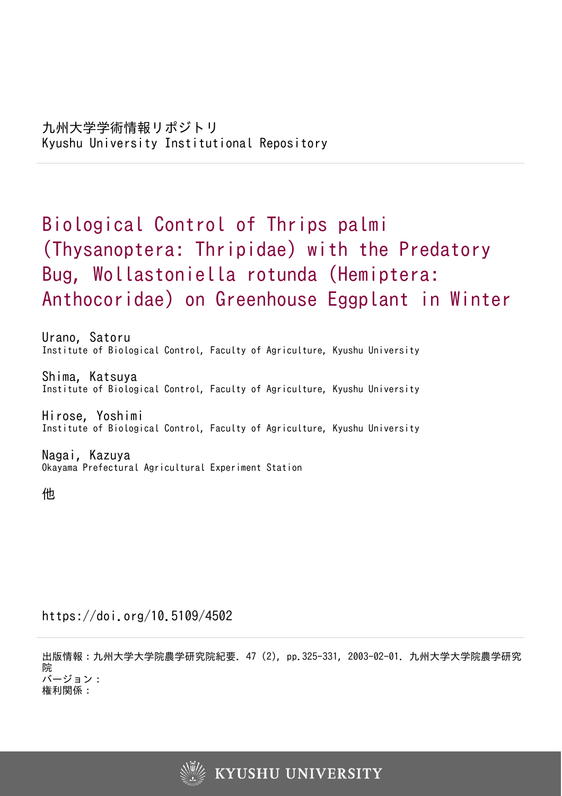# Biological Control of Thrips palmi (Thysanoptera: Thripidae) with the Predatory Bug, Wollastoniella rotunda (Hemiptera: Anthocoridae) on Greenhouse Eggplant in Winter

Urano, Satoru Institute of Biological Control, Faculty of Agriculture, Kyushu University

Shima, Katsuya Institute of Biological Control, Faculty of Agriculture, Kyushu University

Hirose, Yoshimi Institute of Biological Control, Faculty of Agriculture, Kyushu University

Nagai, Kazuya Okayama Prefectural Agricultural Experiment Station

他

https://doi.org/10.5109/4502

出版情報:九州大学大学院農学研究院紀要. 47 (2), pp.325-331, 2003-02-01. 九州大学大学院農学研究 院 バージョン: 権利関係:

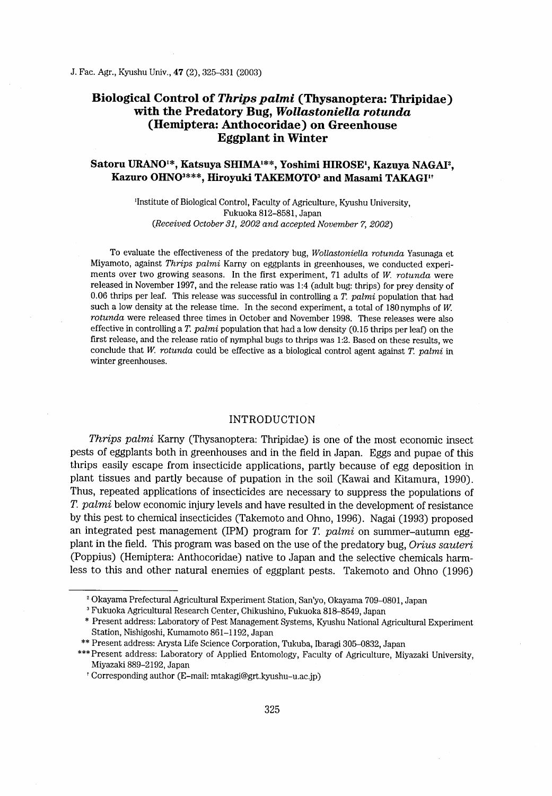# Biological Control of Thrips palmi (Thysanoptera: Thripidae) with the Predatory Bug, Wollastoniella rotunda (Hemiptera: Anthocoridae) on Greenhouse Eggplant in Winter

# Satoru URANO<sup>1\*</sup>, Katsuya SHIMA<sup>1\*\*</sup>, Yoshimi HIROSE<sup>1</sup>, Kazuya NAGAI<sup>2</sup>, Kazuro OHNO<sup>3\*\*\*</sup>, Hiroyuki TAKEMOTO<sup>3</sup> and Masami TAKAGI<sup>11</sup>

'Institute of Biological Control, Faculty of Agriculture, Kyushu University, Fukuoka 812~581 , Japan (Received October 31, 2002 aud accepted November 7, 2002)

To evaluate the effectiveness of the predatory bug, Wollastoniella rotunda Yasunaga et Miyamoto, against Thrips palmi Karny on eggplants in greenhouses, we conducted experiments over two growing seasons. In the first experiment,  $71$  adults of W. rotunda were released in Novernber 1997, and the release ratio was 1:4 (adult bug: thrips) for prey density of 0.06 thrips per leaf. This release was successful in controlling a  $T.$   $palmi$  population that had such a low density at the release time. In the second experiment, a total of 180nymphs of W. rotunda were released three times in October and November 1998. These releases were also effective in controlling a T. palmi population that had a low density  $(0.15)$  thrips per leaf) on the first release, and the release ratio of nymphal bugs to thrips was 1:2. Based on these results, we conclude that W. rotunda could be effective as a biological control agent against  $T.$  palmi in winter greenhouses.

## INTRODUCTION

Thrips palmi Karny (Thysanoptera: Thripidae) is one of the most economic insect pests of eggplants both in greenhouses and in the field in Japan. Eggs and pupae of this thrips easily escape from insecticide applications, partly because of egg deposition in plant tissues and partly because of pupation in the soil (Kawai and Kitamura, 1990) . Thus, repeated applications of insecticides are necessary to suppress the populations of T. palmi below economic injury levels and have resulted in the development of resistance by this pest to chernical insecticides (Takemoto and Ohno, 1996) . Nagai (1993) proposed an integrated pest management (IPM) program for  $T.$   $palmi$  on summer-autumn eggplant in the field. This program was based on the use of the predatory bug, Orius sauteri (Poppius) (Hemiptera: Anthocoridae) native to Japan and the selective chemicals harmless to this and other natural enemies of eggplant pests. Takemoto and Ohno (1996)

<sup>&#</sup>x27; Okayama Prefectural Agricultural Experirnent Station, San'yo, Okayama 709~801, Japan

<sup>&</sup>lt;sup>3</sup> Fukuoka Agricultural Research Center, Chikushino, Fukuoka 818–8549, Japan

<sup>\*</sup> Present address: Laboratory of Pest Management Systems, Kyushu National Agricultural Experiment Station, Nishigoshi, Kumamoto 861-1 192, Japan

<sup>\*\*</sup> Present address: Arysta Life Science Corporation, Tukuba, lbaragi 305~832, Japan

<sup>\*\*\*</sup>Present address: Laboratory of Applied Entomology, Faculty of Agriculture, Miyazaki University, Miyazaki 889-2192, Japan

t Corresponding author (E-mail: mtakagi@grt.kyushu-u.acjp)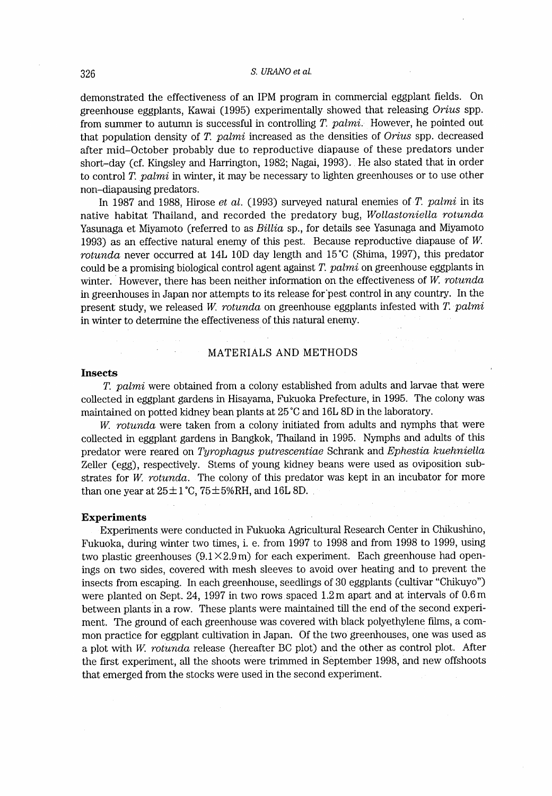# 326 S. URANO et al.

demonstrated the effectiveness of an IPM program in commercial eggplant fields. On greenhouse eggplants, Kawai (1995) experimentally showed that releasing Orius spp. from summer to autumn is successful in controlling  $T.$   $palmi.$  However, he pointed out that population density of T. palmi increased as the densities of Orius spp. decreased after mid-October probably due to reproductive diapause of these predators under short-day (cf. Kingsley and Harrington, 1982; Nagai, 1993) . He also stated that in order to control T. palmi in winter, it may be necessary to lighten greenhouses or to use other non-diapausing predators.

In 1987 and 1988, Hirose et al. (1993) surveyed natural enemies of  $T.$  palmi in its native habitat Thailand, and recorded the predatory bug, Wollastoniella rotunda Yasunaga et Miyamoto (referred to as Billia sp., for details see Yasunaga and Miyamoto 1993) as an effective natural enemy of this pest. Because reproductive diapause of W rotwada never occurred at 14L 10D day length and 15'C (Shima, 1997), this predator could be a promising biological control agent against  $T$ .  $palmi$  on greenhouse eggplants in winter. However, there has been neither information on the effectiveness of  $W$ . rotunda in greenhouses in Japan nor atternpts to its release for'pest control in any country. In the present study, we released W. rotunda on greenhouse eggplants infested with  $T$ .  $palmi$ in winter to determine the effectiveness of this natural enemy.

## MATERIALS AND METHODS

## Insects

T. palmi were obtained from a colony established from adults and larvae that were collected in eggplant gardens in Hisayama, Fukuoka Prefecture, in 1995. The colony was maintained on potted kidney bean plants at 25 'C and 16L 8D in the laboratory.

 $W$ . rotunda were taken from a colony initiated from adults and nymphs that were collected in eggplant gardens in Bangkok, Thailand in 1995. Nymphs and adults of this predator were reared on Tyrophagus putrescentiae Schrank and Ephestia kuehniella Zeller (egg), respectively. Stems of young kidney beans were used as oviposition substrates for W. rotunda. The colony of this predator was kept in an incubator for more than one year at  $25\pm1\degree C$ ,  $75\pm5\%RH$ , and  $16L$  8D.

#### Experiments

Experiments were conducted in Fnkuoka Agricultural Research Center in Chikushino, Fukuoka, during winter two times, i. e. from 1997 to 1998 and from 1998 to 1999, using two plastic greenhouses  $(9.1 \times 2.9 \text{ m})$  for each experiment. Each greenhouse had openings on two sides, covered with mesh sleeves to avoid over heating and to prevent the insects from escaping. In each greenhouse, seedlings of 30 eggplants (cultivar "Chikuyo") were planted on Sept. 24, 1997 in two rows spaced 1.2m apart and at intervals of 0.6m between plants in a row. These plants were maintained till the end of the second experiment. The ground of each greenhouse was covered with black polyethylene films, a common practice for eggplant cultivation in Japan. Of the two greenhouses, one was used as a plot with W. rotunda release (hereafter BC plot) and the other as control plot. After the first experiment, all the shoots were trimmed in September 1998, and new offshoots that emerged from the stocks were used in the second experiment.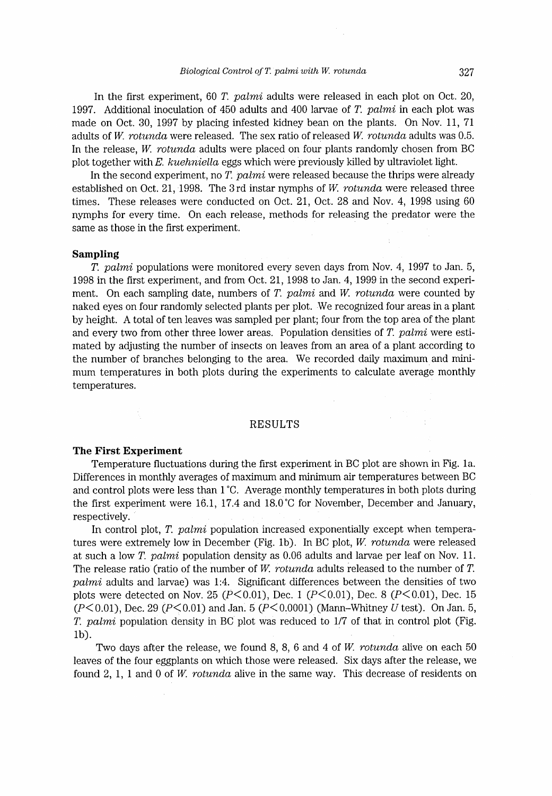#### $Biological Control of T. palmi with W. rotunda$  327

In the first experiment, 60 T. palmi adults were released in each plot on Oct. 20, 1997. Additional inoculation of 450 adults and 400 larvae of  $T.$  palmi in each plot was made on Oct. 30, 1997 by placing infested kidney bean on the plants. On Nov. 11, 71 adults of W. rotunda were released. The sex ratio of released W. rotunda adults was  $0.5$ . In the release, W. rotunda adults were placed on four plants randomly chosen from BC plot together with E. kuehniella eggs which were previously killed by ultraviolet light.

In the second experiment, no T. palmi were released because the thrips were already established on Oct. 21, 1998. The 3rd instar nymphs of W. rotunda were released three times. These releases were conducted on Oct. 21, Oct. 28 and Nov. 4, 1998 using 60 nymphs for every time. On each release, methods for releasing the predator were the same as those in the first experiment.

#### Sampling

T. palmi populations were monitored every seven days from Nov. 4, 1997 to Jan. 5, 1998 in the first experiment, and from Oct. 21, 1998 to Jan. 4, 1999 in the second experiment. On each sampling date, numbers of T. palmi and W. rotunda were counted by naked eyes on four randomly selected plants per plot. We recognized four areas in a plant by height. A total of ten leaves was sampled per plant; four from the top area of the plant and every two from other three lower areas. Population densities of T. palmi were estimated by adjusting the number of insects on leaves from an area of a plant according to the number of branches belonging to the area. We recorded daily maximum and minimum temperatures in both plots during the experiments to calculate average monthly temperatures.

## RESULTS

#### The First Experiment

Temperaiure fluctuations during the first experiment in BC plot are shown in Fig. Ia. Differences in monthly averages of maximum and minirnurn air temperatures between BC and control plots were less than I 'C. Average monthly temperatures in both plots during the first experiment were 16.1, 17.4 and 18.0'C for November, December and January, respectively.

In control plot,  $T.$  palmi population increased exponentially except when temperatures were extremely low in December (Fig. 1b). In BC plot, W. rotunda were released at such a low T. palmi population density as  $0.06$  adults and larvae per leaf on Nov. 11. The release ratio (ratio of the number of W. rotunda adults released to the number of T.  $palmi$  adults and larvae) was 1:4. Significant differences between the densities of two plots were detected on Nov. 25 ( $P<0.01$ ), Dec. 1 ( $P<0.01$ ), Dec. 8 ( $P<0.01$ ), Dec. 15  $(2\angle 0.01)$ , Dec. 29 ( $B\angle 0.01$ ) and Jan. 5 ( $B\angle 0.0001$ ) (Mann. Whitney U test). On Jan. 5  $T \sim 0.01$ , pcc. 25  $T \sim 0.01$  and sail,  $\sigma$   $T \sim 0.0001$  mature whency  $\sigma$  easy. On said  $\sigma$ , lb) .

Two days after the release, we found 8, 8, 6 and 4 of W, rotunda alive on each 50 leaves of the four eggplants on which those were released. Six days after the release, we found 2, 1, 1 and 0 of W. rotunda alive in the same way. This decrease of residents on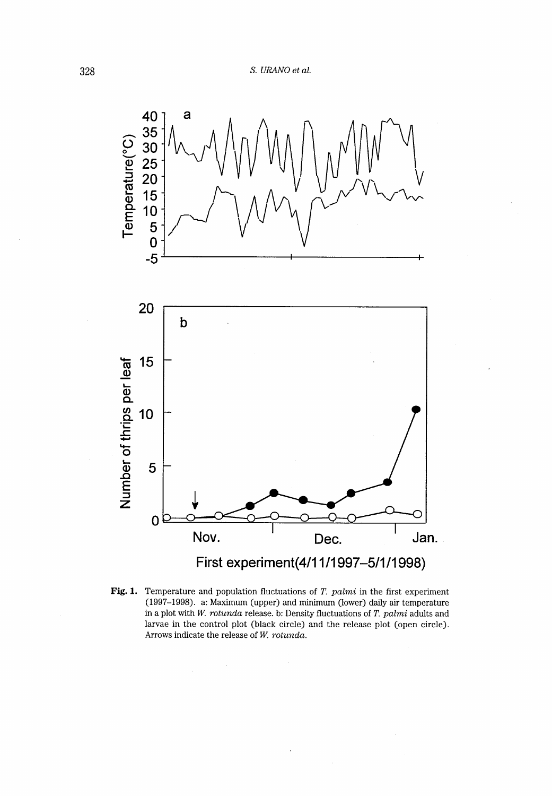

Fig. 1. Temperature and population fluctuations of  $T.$   $palmi$  in the first experiment (1997-1998) . a: Maximum (upper) and minimum (lower) daily air temperature in a plot with W. rotunda release. b: Density fluctuations of T. palmi adults and larvae in the control plot (black circle) and the release plot (open circle). Arrows indicate the release of  $W$ .  $rotunda$ .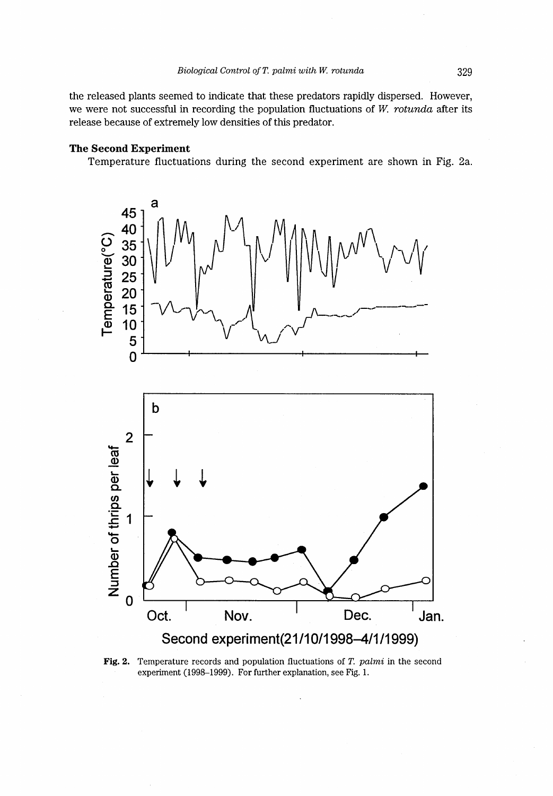the released plants seemed to indicate that these predators rapidly dispersed. However, we were not successful in recording the population fluctuations of W, rotanda after its release because of extremely low densities of this predator.

# The Second Experiment

Temperature fluctuations during the second experiment are shown in Fig. 2a.



**Fig. 2.** Temperature records and population fluctuations of T. palmi in the second experiment (1998–1999). For further explanation, see Fig. 1.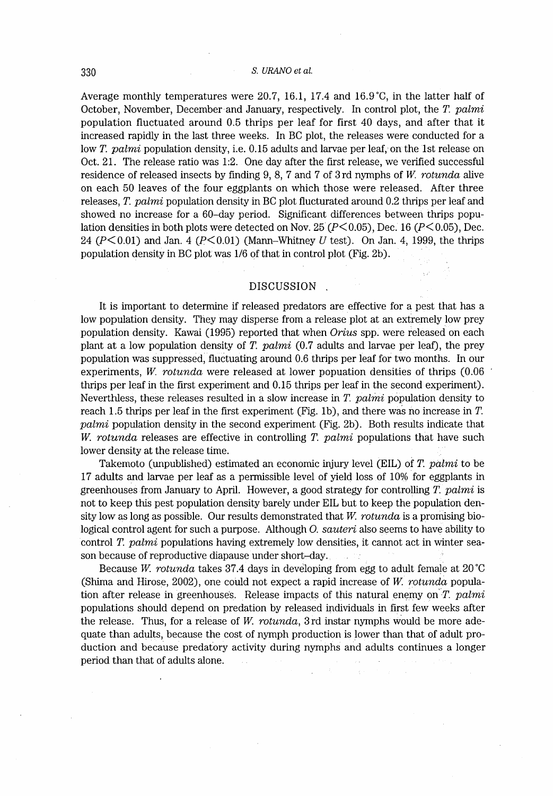Average monthly temperatures were 20.7, 16.1, 17.4 and 16.9'C, in the latter half of October, November, December and January, respectively. In control plot, the T. palmi population fluctuated around 0.5 thrips per leaf for first 40 days, and after that it increased rapidly in the last three weeks. In BC plot, the releases were conducted for a low T. palmi population density, i.e. 0.15 adults and larvae per leaf, on the 1st release on Oct. 21. The release ratio was 1:2. One day after the first release, we verffied successful residence of released insects by finding 9, 8, 7 and 7 of 3rd nymphs of W. rotunda alive on each 50 Ieaves of the four eggplants on which those were released. After three releases, T. palmi population density in BC plot flucturated around 0.2 thrips per leaf and showed no increase for a 60-day period. Significant differences between thrips population densities in both plots were detected on Nov. 25 ( $P \le 0.05$ ), Dec. 16 ( $P \le 0.05$ ), Dec. 24 ( $P \le 0.01$ ) and Jan. 4 ( $P \le 0.01$ ) (Mann-Whitney U test). On Jan. 4, 1999, the thrips population density in BC plot was 1/6 of that in control plot (Fig. 2b).

### DISCUSSION.

It is important to detennine if released predators are effective for a pest that has a low population density. They may disperse from a release plot at an extremely low prey population density. Kawai (1995) reported that when Orius spp. were released on each plant at a low population density of T. palmi  $(0.7)$  adults and larvae per leaf), the prey population was suppressed; fluctuating around 0.6 thrips per leaf for two months. In our experiments, W. rotunda were released at lower popuation densities of thrips  $(0.06$ thrips per leaf in the first experiment and 0.15 thrips per leaf in the second experiment). Neverthless, these releases resulted in a slow increase in T. palmi population density to reach 1.5 thrips per leaf in the first experiment (Fig. 1b), and there was no increase in  $T$ . palmi population density in the second experiment (Fig. 2b). Both results indicate that W. rotunda releases are effective in controlling T. palmi populations that have such lower density at the release time.

Takemoto (unpublished) estimated an economic injury level (EIL) of T. palmi to be 17 adults and larvae per leaf as a permissible level of yield loss of 10% for eggplants in greenhouses from January to April. However, a good strategy for controlling  $T$ . palmi is not to keep this pest population density barely under EIL but to keep the population density low as long as possible. Our results demonstrated that  $W$ . rotunda is a promising biological control agent for such a purpose. Although O. sauteri also seems to have ability to control T. palmi populations having extremely low densities, it cannot act in winter season because of reproductive diapause under short-day.

Because W. rotunda takes 37.4 days in developing from egg to adult female at 20 $^{\circ}$ C (Shima and Hirose,  $2002$ ), one could not expect a rapid increase of W. rotunda population after release in greenhouses. Release impacts of this natural enemy on  $T.$   $palmi$ populations should depend on predation by released individuals in first few weeks after the release. Thus, for a release of  $W$ . rotunda, 3 rd instar nymphs would be more adequate than adults, because the cost of nymph production is lower than that of adult production and because predatory activity during nymphs and adults continues a longer period than that of adults alone.